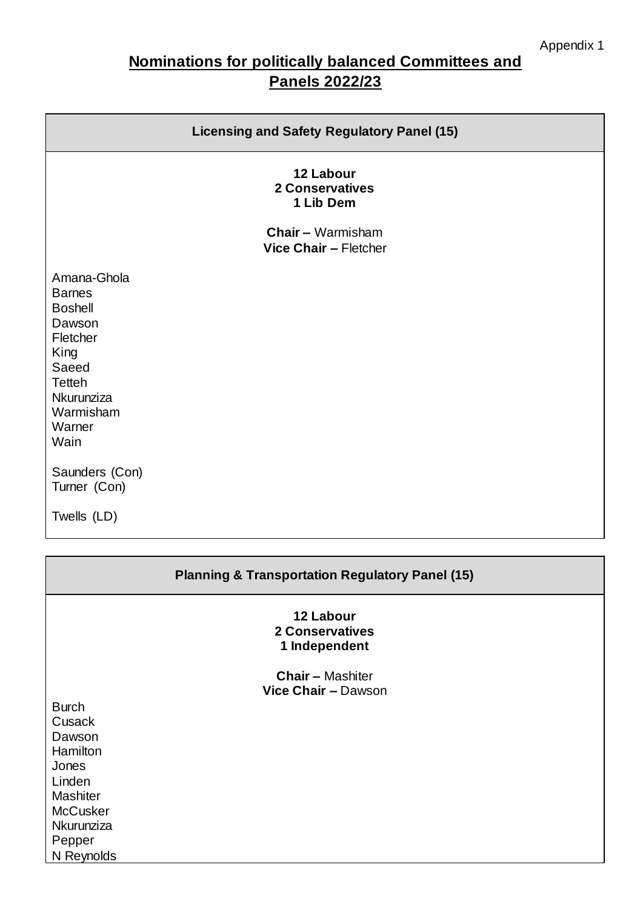# **Nominations for politically balanced Committees and Panels 2022/23**

| <b>Licensing and Safety Regulatory Panel (15)</b>                                                                                                   |  |  |
|-----------------------------------------------------------------------------------------------------------------------------------------------------|--|--|
| 12 Labour<br><b>2 Conservatives</b><br>1 Lib Dem                                                                                                    |  |  |
| <b>Chair - Warmisham</b><br>Vice Chair - Fletcher                                                                                                   |  |  |
| Amana-Ghola<br><b>Barnes</b><br><b>Boshell</b><br>Dawson<br>Fletcher<br>King<br>Saeed<br><b>Tetteh</b><br>Nkurunziza<br>Warmisham<br>Warner<br>Wain |  |  |
| Saunders (Con)<br>Turner (Con)                                                                                                                      |  |  |
| Twells (LD)                                                                                                                                         |  |  |
| <b>Planning &amp; Transportation Regulatory Panel (15)</b>                                                                                          |  |  |

#### **12 Labour 2 Conservatives 1 Independent**

**Chair –** Mashiter **Vice Chair –** Dawson

Burch **Cusack** Dawson **Hamilton** Jones Linden **Mashiter McCusker Nkurunziza** Pepper N Reynolds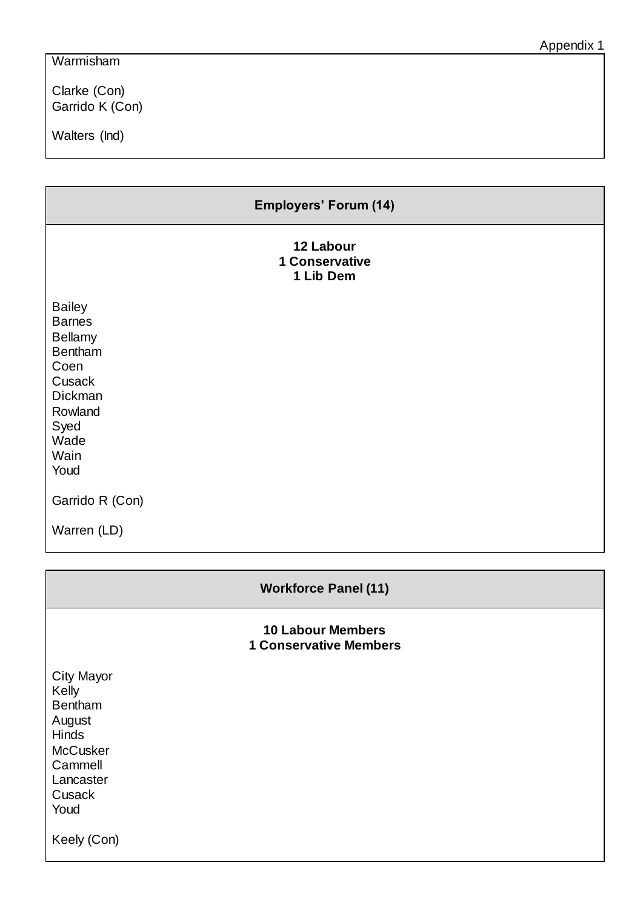## Warmisham

Clarke (Con) Garrido K (Con)

Walters (Ind)

|                                                                                                                                            | <b>Employers' Forum (14)</b>                              |
|--------------------------------------------------------------------------------------------------------------------------------------------|-----------------------------------------------------------|
|                                                                                                                                            | 12 Labour<br><b>1 Conservative</b><br>1 Lib Dem           |
| <b>Bailey</b><br><b>Barnes</b><br><b>Bellamy</b><br><b>Bentham</b><br>Coen<br>Cusack<br>Dickman<br>Rowland<br>Syed<br>Wade<br>Wain<br>Youd |                                                           |
| Garrido R (Con)                                                                                                                            |                                                           |
| Warren (LD)                                                                                                                                |                                                           |
|                                                                                                                                            | <b>Workforce Panel (11)</b>                               |
|                                                                                                                                            | <b>10 Labour Members</b><br><b>1 Conservative Members</b> |
| <b>City Mayor</b><br>Kelly<br>Bentham<br>August<br>Hinds<br>McCusker<br>Cammell<br>Lancaster<br>Cusack<br>Youd<br>Keely (Con)              |                                                           |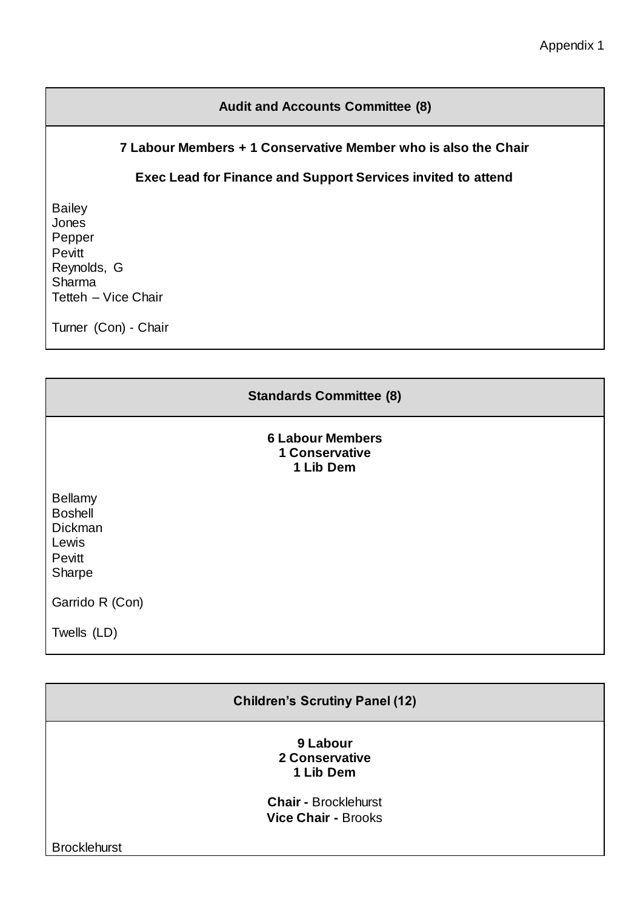## **Audit and Accounts Committee (8)**

#### **7 Labour Members + 1 Conservative Member who is also the Chair**

## **Exec Lead for Finance and Support Services invited to attend**

Bailey **Jones** Pepper Pevitt Reynolds, G Sharma Tetteh – Vice Chair

Turner (Con) - Chair

|                                                                          | <b>Standards Committee (8)</b>                                |  |
|--------------------------------------------------------------------------|---------------------------------------------------------------|--|
|                                                                          | <b>6 Labour Members</b><br><b>1 Conservative</b><br>1 Lib Dem |  |
| <b>Bellamy</b><br><b>Boshell</b><br>Dickman<br>Lewis<br>Pevitt<br>Sharpe |                                                               |  |
| Garrido R (Con)                                                          |                                                               |  |
| Twells (LD)                                                              |                                                               |  |

| <b>Children's Scrutiny Panel (12)</b> |                                                           |  |
|---------------------------------------|-----------------------------------------------------------|--|
|                                       | 9 Labour<br>2 Conservative<br>1 Lib Dem                   |  |
|                                       | <b>Chair - Brocklehurst</b><br><b>Vice Chair - Brooks</b> |  |
| <b>Brocklehurst</b>                   |                                                           |  |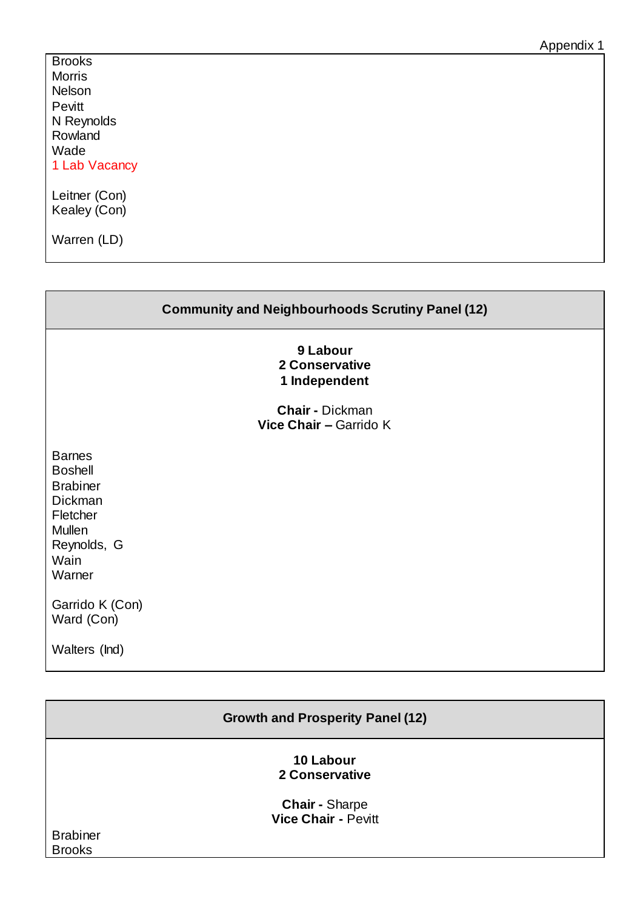**Brooks** Morris Nelson Pevitt N Reynolds Rowland Wade 1 Lab Vacancy

Leitner (Con) Kealey (Con)

Warren (LD)

| <b>Community and Neighbourhoods Scrutiny Panel (12)</b>                                                                            |                                                  |  |
|------------------------------------------------------------------------------------------------------------------------------------|--------------------------------------------------|--|
|                                                                                                                                    | 9 Labour<br>2 Conservative<br>1 Independent      |  |
|                                                                                                                                    | <b>Chair - Dickman</b><br>Vice Chair - Garrido K |  |
| <b>Barnes</b><br><b>Boshell</b><br><b>Brabiner</b><br><b>Dickman</b><br>Fletcher<br><b>Mullen</b><br>Reynolds, G<br>Wain<br>Warner |                                                  |  |
| Garrido K (Con)<br>Ward (Con)                                                                                                      |                                                  |  |
| Walters (Ind)                                                                                                                      |                                                  |  |

| <b>Growth and Prosperity Panel (12)</b> |                                                     |  |
|-----------------------------------------|-----------------------------------------------------|--|
|                                         | 10 Labour<br>2 Conservative                         |  |
|                                         | <b>Chair - Sharpe</b><br><b>Vice Chair - Pevitt</b> |  |
| <b>Brabiner</b><br><b>Brooks</b>        |                                                     |  |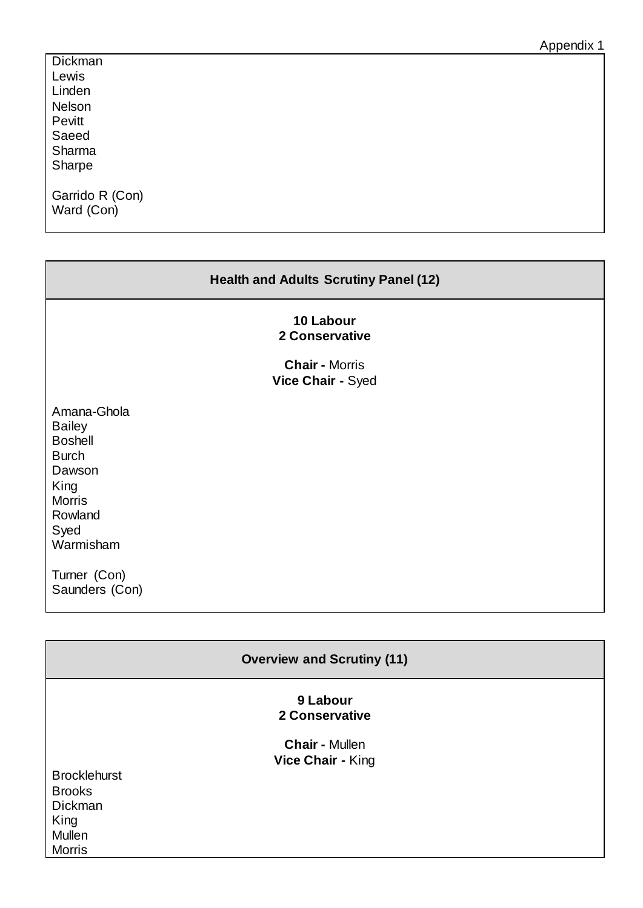| Appendix 1 |  |
|------------|--|
|------------|--|

| Dickman                       |  |
|-------------------------------|--|
| Lewis                         |  |
| Linden                        |  |
| Nelson                        |  |
| Pevitt                        |  |
| Saeed                         |  |
| Sharma                        |  |
| Sharpe                        |  |
| Garrido R (Con)<br>Ward (Con) |  |

| <b>Health and Adults Scrutiny Panel (12)</b>                                                                                                                        |  |  |
|---------------------------------------------------------------------------------------------------------------------------------------------------------------------|--|--|
| 10 Labour<br>2 Conservative<br><b>Chair - Morris</b><br>Vice Chair - Syed                                                                                           |  |  |
| Amana-Ghola<br><b>Bailey</b><br><b>Boshell</b><br><b>Burch</b><br>Dawson<br>King<br><b>Morris</b><br>Rowland<br>Syed<br>Warmisham<br>Turner (Con)<br>Saunders (Con) |  |  |
|                                                                                                                                                                     |  |  |

| <b>Overview and Scrutiny (11)</b> |                                            |  |
|-----------------------------------|--------------------------------------------|--|
|                                   | 9 Labour<br>2 Conservative                 |  |
|                                   | <b>Chair - Mullen</b><br>Vice Chair - King |  |
| <b>Brocklehurst</b>               |                                            |  |
| <b>Brooks</b>                     |                                            |  |
| Dickman                           |                                            |  |
| King                              |                                            |  |
| Mullen                            |                                            |  |
| Morris                            |                                            |  |